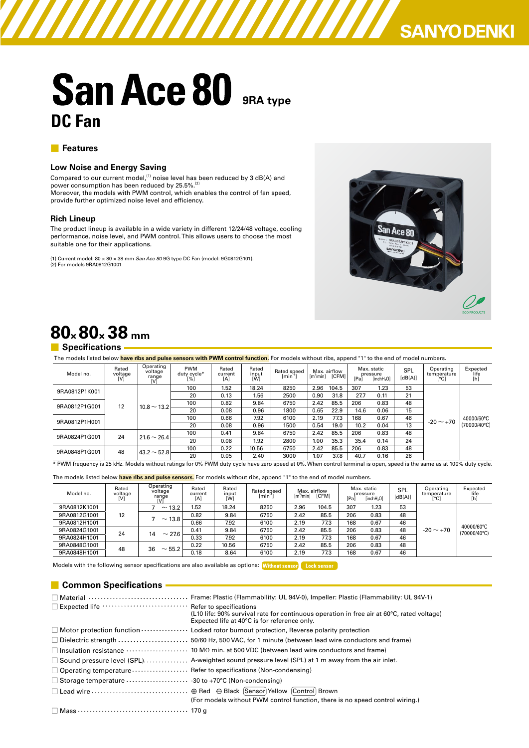# **SANYO DENKI**

# **San Ace 80 9RA type DC Fan**

#### ■ **Features**

#### **Low Noise and Energy Saving**

Compared to our current model, $^{(1)}$  noise level has been reduced by 3 dB(A) and power consumption has been reduced by 25.5%. $^{(2)}$ Moreover, the models with PWM control, which enables the control of fan speed, provide further optimized noise level and efficiency.

#### **Rich Lineup**

The product lineup is available in a wide variety in different 12/24/48 voltage, cooling performance, noise level, and PWM control. This allows users to choose the most suitable one for their applications.

(1) Current model: 80 × 80 × 38 mm *San Ace 80* 9G type DC Fan (model: 9G0812G101). (2) For models 9RA0812G1001



# **80× 80× 38 mm**

#### ■ **Specifications**

| The models listed below have ribs and pulse sensors with PWM control function. For models without ribs, append "1" to the end of model numbers. |                         |                                      |                                  |                         |                       |                                    |                       |                       |      |                                                   |                |                                  |                                     |
|-------------------------------------------------------------------------------------------------------------------------------------------------|-------------------------|--------------------------------------|----------------------------------|-------------------------|-----------------------|------------------------------------|-----------------------|-----------------------|------|---------------------------------------------------|----------------|----------------------------------|-------------------------------------|
| Model no.                                                                                                                                       | Rated<br>voltage<br>[V] | Operating<br>voltage<br>range<br>[V] | <b>PWM</b><br>duty cycle*<br>[%] | Rated<br>current<br>[A] | Rated<br>input<br>[W] | Rated speed<br>[min <sup>1</sup> ] | [m <sup>3</sup> /min] | Max. airflow<br>[CFM] | [Pa] | Max. static<br>pressure<br>linchH <sub>2</sub> O1 | SPL<br>[dB(A)] | Operating<br>temperature<br>[°C] | Expected<br>life<br>[h]             |
| 9RA0812P1K001                                                                                                                                   | $12 \overline{ }$       | $10.8 \sim 13.2$                     | 100                              | 1.52                    | 18.24                 | 8250                               | 2.96                  | 104.5                 | 307  | 1.23                                              | 53             | $-20 \sim +70$                   | 40000/60°C<br>$(70000/40^{\circ}C)$ |
|                                                                                                                                                 |                         |                                      | 20                               | 0.13                    | 1.56                  | 2500                               | 0.90                  | 31.8                  | 27.7 | 0.11                                              | 21             |                                  |                                     |
| 9RA0812P1G001                                                                                                                                   |                         |                                      | 100                              | 0.82                    | 9.84                  | 6750                               | 2.42                  | 85.5                  | 206  | 0.83                                              | 48             |                                  |                                     |
|                                                                                                                                                 |                         |                                      | 20                               | 0.08                    | 0.96                  | 1800                               | 0.65                  | 22.9                  | 14.6 | 0.06                                              | 15             |                                  |                                     |
| 9RA0812P1H001                                                                                                                                   |                         |                                      | 100                              | 0.66                    | 7.92                  | 6100                               | 2.19                  | 77.3                  | 168  | 0.67                                              | 46             |                                  |                                     |
|                                                                                                                                                 |                         |                                      | 20                               | 0.08                    | 0.96                  | 1500                               | 0.54                  | 19.0                  | 10.2 | 0.04                                              | 13             |                                  |                                     |
| 9RA0824P1G001                                                                                                                                   | 24                      | $21.6 \sim 26.4$                     | 100                              | 0.41                    | 9.84                  | 6750                               | 2.42                  | 85.5                  | 206  | 0.83                                              | 48             |                                  |                                     |
|                                                                                                                                                 |                         |                                      | 20                               | 0.08                    | 1.92                  | 2800                               | 1.00                  | 35.3                  | 35.4 | 0.14                                              | 24             |                                  |                                     |
| 9RA0848P1G001                                                                                                                                   | 48                      | $43.2 \sim 52.8$                     | 100                              | 0.22                    | 10.56                 | 6750                               | 2.42                  | 85.5                  | 206  | 0.83                                              | 48             |                                  |                                     |
|                                                                                                                                                 |                         |                                      |                                  | 20                      | 0.05                  | 2.40                               | 3000                  | 1.07                  | 37.8 | 40.7                                              | 0.16           | 26                               |                                     |

\* PWM frequency is 25 kHz. Models without ratings for 0% PWM duty cycle have zero speed at 0%. When control terminal is open, speed is the same as at 100% duty cycle.

The models listed below **have ribs and pulse sensors.** For models without ribs, append "1" to the end of model numbers.

| Model no.    | Rated<br>voltage | Operating<br>voltage<br>range | Rated<br>current<br>[A] | Rated<br>input<br>[W] | Rated speed<br>$\int \text{min}^{11}$ | Max. airflow<br>m <sup>3</sup> /minl | <b>ICFM1</b> | [Pa  | Max. static<br>pressure<br>linchH <sub>2</sub> O1 | SPI<br>[dB(A)] | Operating<br>temperature<br>[°C] | Expected<br>life<br>[h]    |    |  |  |
|--------------|------------------|-------------------------------|-------------------------|-----------------------|---------------------------------------|--------------------------------------|--------------|------|---------------------------------------------------|----------------|----------------------------------|----------------------------|----|--|--|
| 9RA0812K1001 |                  | $\sim$ 13.2                   | 1.52                    | 18.24                 | 8250                                  | 2.96                                 | 104.5        | 307  | 1.23                                              | 53             |                                  |                            |    |  |  |
| 9RA0812G1001 | 12               | $\sim$ 13.8                   | 0.82                    | 9.84                  | 6750                                  | 2.42                                 | 85.5         | 206  | 0.83                                              | 48             | $-20 \sim +70$                   | 40000/60°C<br>(70000/40°C) |    |  |  |
| 9RA0812H1001 |                  |                               | 0.66                    | 7.92                  | 6100                                  | 2.19                                 | 77.3         | 168  | 0.67                                              | 46             |                                  |                            |    |  |  |
| 9RA0824G1001 | 24               | ~27.6<br>14                   | 0.41                    | 9.84                  | 6750                                  | 2.42                                 | 85.5         | 206  | 0.83                                              | 48             |                                  |                            |    |  |  |
| 9RA0824H1001 |                  |                               |                         | 0.33                  | 7.92                                  | 6100                                 | 2.19         | 77.3 | 168                                               | 0.67           | 46                               |                            |    |  |  |
| 9RA0848G1001 | 48               |                               |                         |                       | $\sim$ 55.2<br>36                     | 0.22                                 | 10.56        | 6750 | 2.42                                              | 85.5           | 206                              | 0.83                       | 48 |  |  |
| 9RA0848H1001 |                  |                               |                         |                       | 0.18                                  | 8.64                                 | 6100         | 2.19 | 77.3                                              | 168            | 0.67                             | 46                         |    |  |  |

Models with the following sensor specifications are also available as options: Without sensor Lock sensor

#### ■ **Common Specifications**

|                                                                                                           | □ Material  Frame: Plastic (Flammability: UL 94V-0), Impeller: Plastic (Flammability: UL 94V-1)                                                       |
|-----------------------------------------------------------------------------------------------------------|-------------------------------------------------------------------------------------------------------------------------------------------------------|
| □ Expected life ……………………… Refer to specifications                                                         | (L10 life: $90\%$ survival rate for continuous operation in free air at $60\degree$ C, rated voltage)<br>Expected life at 40°C is for reference only. |
|                                                                                                           | $\Box$ Motor protection function $\cdots$ $\cdots$ $\cdots$ Locked rotor burnout protection, Reverse polarity protection                              |
|                                                                                                           |                                                                                                                                                       |
|                                                                                                           |                                                                                                                                                       |
|                                                                                                           | $\Box$ Sound pressure level (SPL) A-weighted sound pressure level (SPL) at 1 m away from the air inlet.                                               |
| $\Box$ Operating temperature $\cdots$ $\cdots$ $\cdots$ $\cdots$ Refer to specifications (Non-condensing) |                                                                                                                                                       |
|                                                                                                           |                                                                                                                                                       |
|                                                                                                           |                                                                                                                                                       |
|                                                                                                           | (For models without PWM control function, there is no speed control wiring.)                                                                          |
|                                                                                                           |                                                                                                                                                       |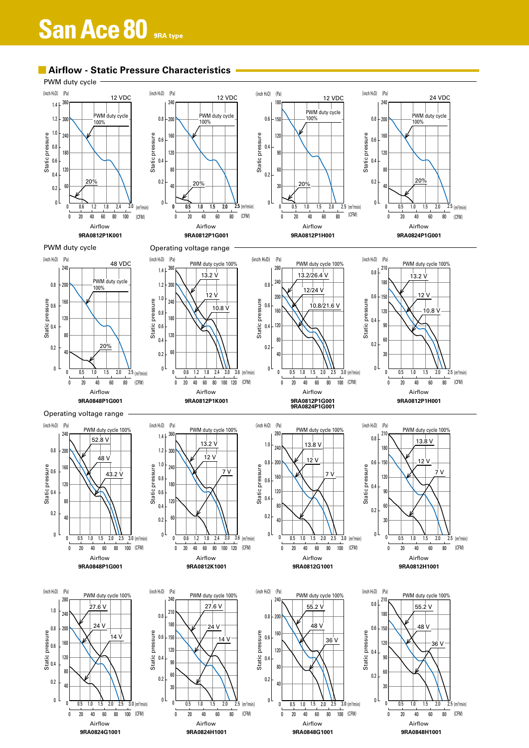# **San Ace 80** SRA type

0 20 40 60 80 100 (CFM)

Airflow

3.0 (m¾min)



**9RA0824G1001 9RA0824H1001 9RA0848G1001 9RA0848H1001**

0 20 40 60 80 100 (CFM)

Airflow

3.0 (m<sup>3</sup>/min)

(CFM)  $(m<sup>s</sup>/min)$ 

Airflow

0 20 40 60 80

(CFM) (m3 /min)

Airflow

0 20 40 60 80

## ■ **Airflow - Static Pressure Characteristics**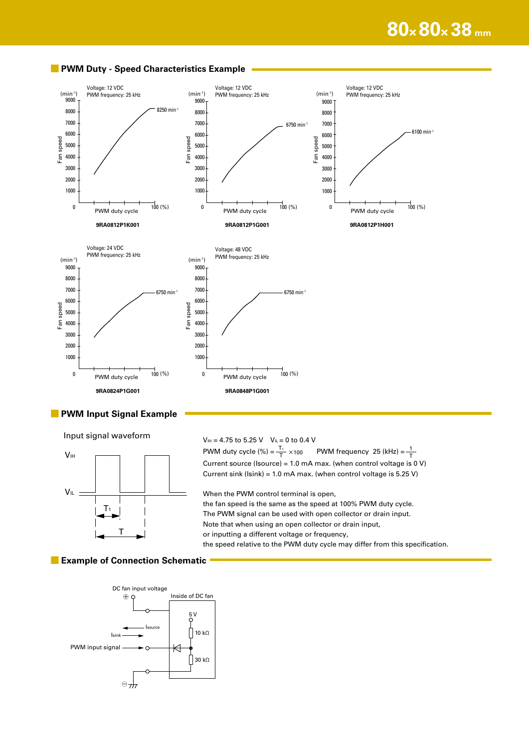

#### ■ **PWM Duty - Speed Characteristics Example**

#### ■ **PWM Input Signal Example**

Input signal waveform



 $V_{\text{IH}} = 4.75 \text{ to } 5.25 \text{ V}$   $V_{\text{IL}} = 0 \text{ to } 0.4 \text{ V}$ 

 $V_{\text{IH}}$   $\qquad \qquad$  PWM duty cycle (%) =  $\frac{T_1}{T} \times 100$  PWM frequency 25 (kHz) = T 1 Current source (Isource) = 1.0 mA max. (when control voltage is 0 V) Current sink ( $\text{Isink}$ ) = 1.0 mA max. (when control voltage is 5.25 V) When the PWM control terminal is open, the fan speed is the same as the speed at 100% PWM duty cycle. The PWM signal can be used with open collector or drain input. Note that when using an open collector or drain input, or inputting a different voltage or frequency, the speed relative to the PWM duty cycle may differ from this specification.

#### **■ Example of Connection Schematic**